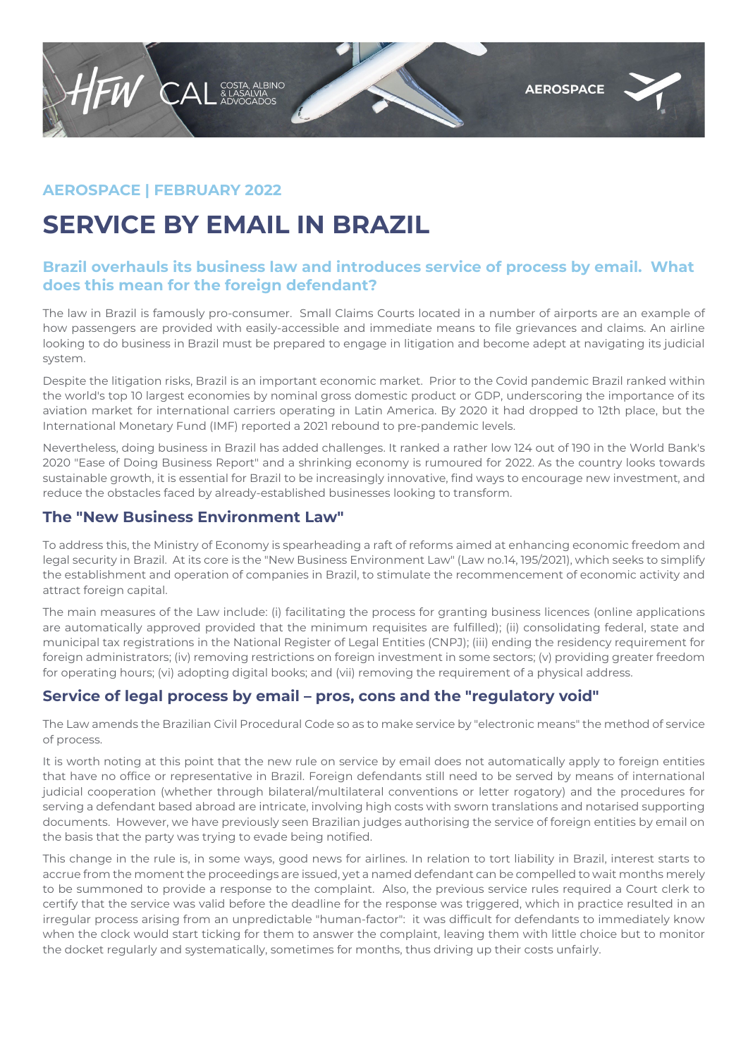

## **AEROSPACE | FEBRUARY 2022**

# **SERVICE BY EMAIL IN BRAZIL**

### **Brazil overhauls its business law and introduces service of process by email. What does this mean for the foreign defendant?**

The law in Brazil is famously pro-consumer. Small Claims Courts located in a number of airports are an example of how passengers are provided with easily-accessible and immediate means to file grievances and claims. An airline looking to do business in Brazil must be prepared to engage in litigation and become adept at navigating its judicial system.

Despite the litigation risks, Brazil is an important economic market. Prior to the Covid pandemic Brazil ranked within the world's top 10 largest economies by nominal gross domestic product or GDP, underscoring the importance of its aviation market for international carriers operating in Latin America. By 2020 it had dropped to 12th place, but the International Monetary Fund (IMF) reported a 2021 rebound to pre-pandemic levels.

Nevertheless, doing business in Brazil has added challenges. It ranked a rather low 124 out of 190 in the World Bank's 2020 "Ease of Doing Business Report" and a shrinking economy is rumoured for 2022. As the country looks towards sustainable growth, it is essential for Brazil to be increasingly innovative, find ways to encourage new investment, and reduce the obstacles faced by already-established businesses looking to transform.

#### **The "New Business Environment Law"**

To address this, the Ministry of Economy is spearheading a raft of reforms aimed at enhancing economic freedom and legal security in Brazil. At its core is the "New Business Environment Law" (Law no.14, 195/2021), which seeks to simplify the establishment and operation of companies in Brazil, to stimulate the recommencement of economic activity and attract foreign capital.

The main measures of the Law include: (i) facilitating the process for granting business licences (online applications are automatically approved provided that the minimum requisites are fulfilled); (ii) consolidating federal, state and municipal tax registrations in the National Register of Legal Entities (CNPJ); (iii) ending the residency requirement for foreign administrators; (iv) removing restrictions on foreign investment in some sectors; (v) providing greater freedom for operating hours; (vi) adopting digital books; and (vii) removing the requirement of a physical address.

## **Service of legal process by email – pros, cons and the "regulatory void"**

The Law amends the Brazilian Civil Procedural Code so as to make service by "electronic means" the method of service of process.

It is worth noting at this point that the new rule on service by email does not automatically apply to foreign entities that have no office or representative in Brazil. Foreign defendants still need to be served by means of international judicial cooperation (whether through bilateral/multilateral conventions or letter rogatory) and the procedures for serving a defendant based abroad are intricate, involving high costs with sworn translations and notarised supporting documents. However, we have previously seen Brazilian judges authorising the service of foreign entities by email on the basis that the party was trying to evade being notified.

This change in the rule is, in some ways, good news for airlines. In relation to tort liability in Brazil, interest starts to accrue from the moment the proceedings are issued, yet a named defendant can be compelled to wait months merely to be summoned to provide a response to the complaint. Also, the previous service rules required a Court clerk to certify that the service was valid before the deadline for the response was triggered, which in practice resulted in an irregular process arising from an unpredictable "human-factor": it was difficult for defendants to immediately know when the clock would start ticking for them to answer the complaint, leaving them with little choice but to monitor the docket regularly and systematically, sometimes for months, thus driving up their costs unfairly.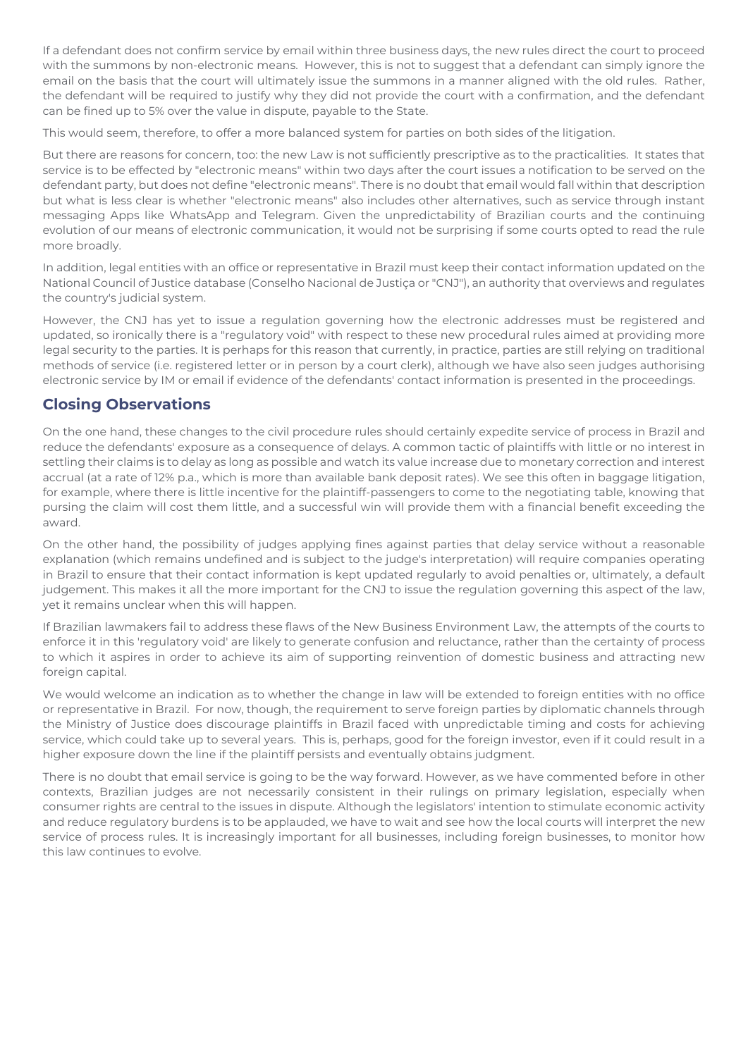If a defendant does not confirm service by email within three business days, the new rules direct the court to proceed with the summons by non-electronic means. However, this is not to suggest that a defendant can simply ignore the email on the basis that the court will ultimately issue the summons in a manner aligned with the old rules. Rather, the defendant will be required to justify why they did not provide the court with a confirmation, and the defendant can be fined up to 5% over the value in dispute, payable to the State.

This would seem, therefore, to offer a more balanced system for parties on both sides of the litigation.

But there are reasons for concern, too: the new Law is not sufficiently prescriptive as to the practicalities. It states that service is to be effected by "electronic means" within two days after the court issues a notification to be served on the defendant party, but does not define "electronic means". There is no doubt that email would fall within that description but what is less clear is whether "electronic means" also includes other alternatives, such as service through instant messaging Apps like WhatsApp and Telegram. Given the unpredictability of Brazilian courts and the continuing evolution of our means of electronic communication, it would not be surprising if some courts opted to read the rule more broadly.

In addition, legal entities with an office or representative in Brazil must keep their contact information updated on the National Council of Justice database (Conselho Nacional de Justiça or "CNJ"), an authority that overviews and regulates the country's judicial system.

However, the CNJ has yet to issue a regulation governing how the electronic addresses must be registered and updated, so ironically there is a "regulatory void" with respect to these new procedural rules aimed at providing more legal security to the parties. It is perhaps for this reason that currently, in practice, parties are still relying on traditional methods of service (i.e. registered letter or in person by a court clerk), although we have also seen judges authorising electronic service by IM or email if evidence of the defendants' contact information is presented in the proceedings.

#### **Closing Observations**

On the one hand, these changes to the civil procedure rules should certainly expedite service of process in Brazil and reduce the defendants' exposure as a consequence of delays. A common tactic of plaintiffs with little or no interest in settling their claims is to delay as long as possible and watch its value increase due to monetary correction and interest accrual (at a rate of 12% p.a., which is more than available bank deposit rates). We see this often in baggage litigation, for example, where there is little incentive for the plaintiff-passengers to come to the negotiating table, knowing that pursing the claim will cost them little, and a successful win will provide them with a financial benefit exceeding the award.

On the other hand, the possibility of judges applying fines against parties that delay service without a reasonable explanation (which remains undefined and is subject to the judge's interpretation) will require companies operating in Brazil to ensure that their contact information is kept updated regularly to avoid penalties or, ultimately, a default judgement. This makes it all the more important for the CNJ to issue the regulation governing this aspect of the law, yet it remains unclear when this will happen.

If Brazilian lawmakers fail to address these flaws of the New Business Environment Law, the attempts of the courts to enforce it in this 'regulatory void' are likely to generate confusion and reluctance, rather than the certainty of process to which it aspires in order to achieve its aim of supporting reinvention of domestic business and attracting new foreign capital.

We would welcome an indication as to whether the change in law will be extended to foreign entities with no office or representative in Brazil. For now, though, the requirement to serve foreign parties by diplomatic channels through the Ministry of Justice does discourage plaintiffs in Brazil faced with unpredictable timing and costs for achieving service, which could take up to several years. This is, perhaps, good for the foreign investor, even if it could result in a higher exposure down the line if the plaintiff persists and eventually obtains judgment.

There is no doubt that email service is going to be the way forward. However, as we have commented before in other contexts, Brazilian judges are not necessarily consistent in their rulings on primary legislation, especially when consumer rights are central to the issues in dispute. Although the legislators' intention to stimulate economic activity and reduce regulatory burdens is to be applauded, we have to wait and see how the local courts will interpret the new service of process rules. It is increasingly important for all businesses, including foreign businesses, to monitor how this law continues to evolve.